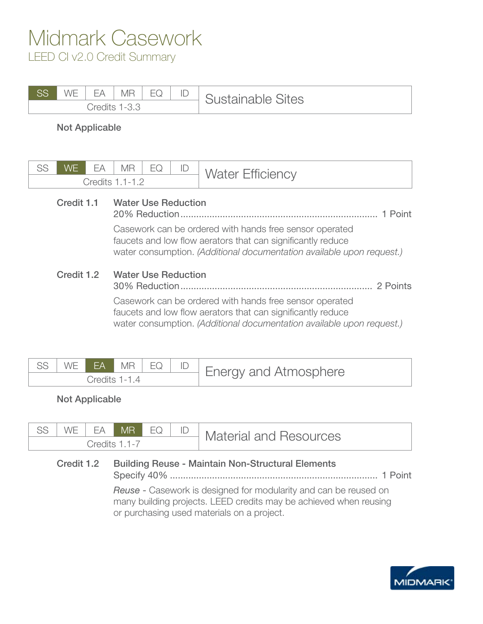### Midmark Casework LEED CI v2.0 Credit Summary

| SS | M/F<br>$\mathbf{v}$ $\mathbf{v}$ | FΔ     | $\overline{A}$<br>МR | $-1$<br>- | ïΩ | <b>Istainable Sites</b><br>∽ |
|----|----------------------------------|--------|----------------------|-----------|----|------------------------------|
|    |                                  | `radit | ÷                    |           |    |                              |

Not Applicable

| SS | <b>WE</b>  | FА | <b>MR</b>                                                                                                                                                                                       | EQ                                                                                                                                                                                              | ID | <b>Water Efficiency</b> |  |  |  |  |
|----|------------|----|-------------------------------------------------------------------------------------------------------------------------------------------------------------------------------------------------|-------------------------------------------------------------------------------------------------------------------------------------------------------------------------------------------------|----|-------------------------|--|--|--|--|
|    |            |    | Credits 1.1-1.2                                                                                                                                                                                 |                                                                                                                                                                                                 |    |                         |  |  |  |  |
|    | Credit 1.1 |    | <b>Water Use Reduction</b>                                                                                                                                                                      |                                                                                                                                                                                                 |    | 1 Point                 |  |  |  |  |
|    |            |    |                                                                                                                                                                                                 | Casework can be ordered with hands free sensor operated<br>faucets and low flow aerators that can significantly reduce<br>water consumption. (Additional documentation available upon request.) |    |                         |  |  |  |  |
|    | Credit 1.2 |    | <b>Water Use Reduction</b><br>30% Reduction.                                                                                                                                                    |                                                                                                                                                                                                 |    | 2 Points                |  |  |  |  |
|    |            |    | Casework can be ordered with hands free sensor operated<br>faucets and low flow aerators that can significantly reduce<br>water consumption. (Additional documentation available upon request.) |                                                                                                                                                                                                 |    |                         |  |  |  |  |

|               |  | SS WE EA MR EQ D D |  |  |  | <b>Energy and Atmosphere</b> |
|---------------|--|--------------------|--|--|--|------------------------------|
| Credits 1-1 4 |  |                    |  |  |  |                              |

Not Applicable

| CC<br>ںں            | ₩⊢ | FΔ | MR | EQ | ID | <b>Material and Resources</b> |
|---------------------|----|----|----|----|----|-------------------------------|
| Credits<br>$-1 - i$ |    |    |    |    |    |                               |

### Credit 1.2 Building Reuse - Maintain Non-Structural Elements

Specify 40% ............................................................................... 1 Point

*Reuse* - Casework is designed for modularity and can be reused on many building projects. LEED credits may be achieved when reusing or purchasing used materials on a project.

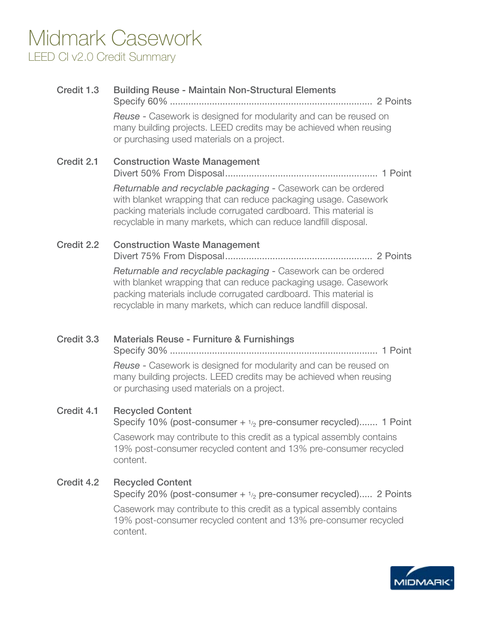## Midmark Casework LEED CI v2.0 Credit Summary

| Credit 1.3 | <b>Building Reuse - Maintain Non-Structural Elements</b>                                                                                                                                                                                                                |
|------------|-------------------------------------------------------------------------------------------------------------------------------------------------------------------------------------------------------------------------------------------------------------------------|
|            | <b>Reuse -</b> Casework is designed for modularity and can be reused on<br>many building projects. LEED credits may be achieved when reusing<br>or purchasing used materials on a project.                                                                              |
| Credit 2.1 | <b>Construction Waste Management</b>                                                                                                                                                                                                                                    |
|            | Returnable and recyclable packaging - Casework can be ordered<br>with blanket wrapping that can reduce packaging usage. Casework<br>packing materials include corrugated cardboard. This material is<br>recyclable in many markets, which can reduce landfill disposal. |
| Credit 2.2 | <b>Construction Waste Management</b>                                                                                                                                                                                                                                    |
|            | Returnable and recyclable packaging - Casework can be ordered<br>with blanket wrapping that can reduce packaging usage. Casework<br>packing materials include corrugated cardboard. This material is<br>recyclable in many markets, which can reduce landfill disposal. |
| Credit 3.3 | Materials Reuse - Furniture & Furnishings                                                                                                                                                                                                                               |
|            | <b>Reuse -</b> Casework is designed for modularity and can be reused on<br>many building projects. LEED credits may be achieved when reusing<br>or purchasing used materials on a project.                                                                              |
| Credit 4.1 | <b>Recycled Content</b><br>Specify 10% (post-consumer $+$ $1/2$ pre-consumer recycled) 1 Point                                                                                                                                                                          |

Casework may contribute to this credit as a typical assembly contains 19% post-consumer recycled content and 13% pre-consumer recycled content.

#### Credit 4.2 Recycled Content

Specify 20% (post-consumer  $+ \frac{1}{2}$  pre-consumer recycled)..... 2 Points

Casework may contribute to this credit as a typical assembly contains 19% post-consumer recycled content and 13% pre-consumer recycled content.